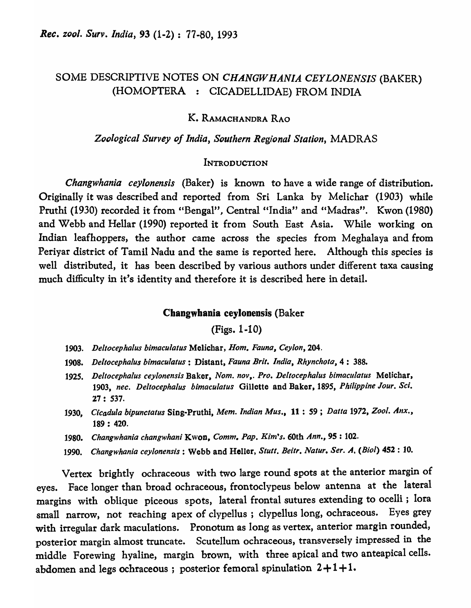# SOME DESCRIPTIVE NOTES ON *CHANGW HANIA CEYLONENSIS* (BAKER) (HOMOPTERA : CICADELLIDAE) FROM INDIA

# K. RAMACHANDRA RAO

### *ZO(J/ogicai Survey of India, Southern Regional Station,* MADRAS

### **INTRODUCTION**

*Changwhania ceylonensis* (Baker) is known to have a wide range of distribution. Originally it was described and reported from Sri Lanka by Melichar (1903) while Pruthi (1930) recorded it from "Bengal", Central "India" and "Madras". Kwon (1980) and Webb and Hellar (1990) reported it from South East Asia. While working on Indian leafhoppers, the author came across the species from Meghalaya and from Periyar district of Tamil Nadu and the same is reported here. Although this species is well distributed, it has been described by various authors under different taxa causing much difficulty in it's identity and therefore it is described here in detail.

### Changwhania ceylonensis (Baker

(Figs. 1-10)

- *1903. Deltocephalus bimaculatus* Melichar, *Hom. Fauna, Ceylon,* 204.
- *1908. Deltocephalus bimaculatus:* Distant, *Fauna Brit. India, Rhynchoto,4: 388.*
- *1925. Deltocephalus ceyionensis* Baker, *Nom. nov,. Pro. Deltocephalus bimacillatus* Melichar, *1903, nec. Deltocephalus bimacuiatus* Gillette and Baker, 1895, *Philippine Jour. Sci.*   $27: 537.$
- 1930, Cicadula bipunctatus Sing-Pruthi, Mem. Indian Mus., 11: 59; Datta 1972, Zool. Anx., 189 : 420.
- *1980. Changwhania changwhani* Kwon, *Comm. Pap. Kim's.* 60th *Ann.,* 9S : 102.
- 1990. Changwhania ceylonensis : Webb and Heller, *Stutt. Beitr. Natur. Ser. A. (Biol)* 452 : 10.

Vertex brightly ochraceous with two large round spots at the anterior margin of eyes. Face longer than broad ochraceous, frontoclypeus below antenna at the lateral margins with oblique piceous spots, lateral frontal sutures extending to ocelli; lora small narrow, not reaching apex of clypellus ; clypellus long, ochraceous. Eyes grey with irregular dark maculations. Pronotum as long as vertex, anterior margin rounded, posterior margin almost truncate. Scutellum ochraceous, transversely impressed in the middle Forewing hyaline, margin brown, with three apical and two anteapical cells. abdomen and legs ochraceous ; posterior femoral spinulation  $2+1+1$ .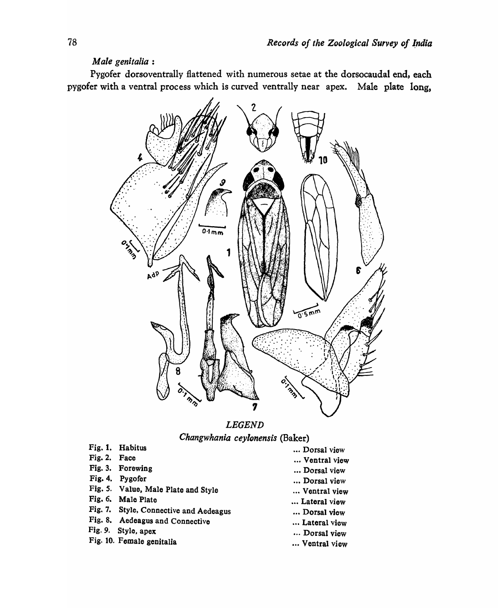# *Male genitalia :*

Pygofer dorsoventrally flattened with numerous setae at the dorsocaudal end, each pygofer with a ventral process which is curved ventrally near apex. Male plate long,



# *LEGEND Changwhania ceylonensis* (Baker)

- Fig. 1. Habitus
- Fig. 2. Face
- Fig. 3. Forewing
- Fig. 4. Pygofer
- Fig. *S.* Value, Male Plate and Style
- Fig. 6. Male Plate
- Fig. 7. Style, Connective and Aedeagus
- Fig. 8. Aedeagus and Connective
- Fig. 9. Style, apex
- Fig. 10. Female genitalia
- ... Dorsal view
- ... Ventral view
- ... Dorsal view
- ... Dorsal view
- ... Ventral view
- ... Lateral view
- •.. Dorsal view
- ... Lateral view
- •.. Dorsal view
- ... Ventral view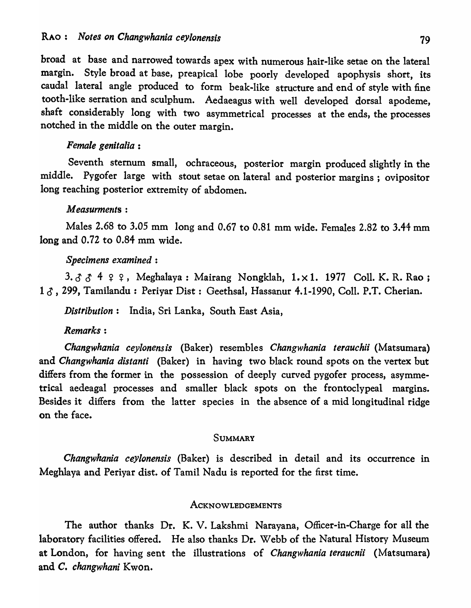broad at base and narrowed towards apex with numerous hair-like setae on the lateral margin. Style broad at base, preapical lobe poorly developed apophysis short, its caudal lateral angle produced to form beak-like structure and end of style with fine tooth-like serration and sculphum. Aedaeagus with well developed dorsal apodeme, shaft considerably long with two asymmetrical processes at the ends, the processes notched in the middle on the outer margin.

# *Female genitalia :*

Seventh sternum small, ochraceous, posterior margin produced slightly in the middle. Pygofer large with stout setae on lateral and posterior margins; ovipositor long reaching posterior extremity of abdomen.

# *Measurments :*

Males 2.68 to 3.05 mm long and 0.67 to 0.81 mm wide. Females 2.82 to 3.44 mm long and 0.72 to 0.84 mm wide.

## *Specimens examined:*

3.  $3 \text{ A } 4$   $9 \text{ A } 4$  . Meghalaya: Mairang Nongklah, 1. x 1. 1977 Coll. K. R. Rao; 1  $\delta$ , 299, Tamilandu : Periyar Dist : Geethsal, Hassanur 4.1-1990, Coll. P.T. Cherian.

*Distribution:* India, Sri Lanka, South East Asia,

# *Remarks:*

*Changwhania ceylonens is* (Baker) resembles *Changwhania terauchii* (Matsumara) and *Changwhania distanti* (Baker) in having two black round spots on the vertex but differs from the former in the possession of deeply curved pygofer process, asymmetrical aedeagal processes and smaller black spots on the frontoclypeal margins. Besides it differs from the latter species in the absence of a mid longitudinal ridge on the face.

## **SUMMARY**

*Changwhania cey/onensis* (Baker) is described in detail and its occurrence in Meghlaya and Periyar dist. of Tamil Nadu is reported for the first time.

### **ACKNOWLEDGEMENTS**

The author thanks Dr. K. V. Lakshmi Narayana, Officer-in-Charge for all the laboratory facilities offered. He also thanks Dr. Webb of the Natural History Museum at London, for having sent the illustrations of *Changwhania teraucnii* (Matsumara) and C. *changwhani* Kwon.